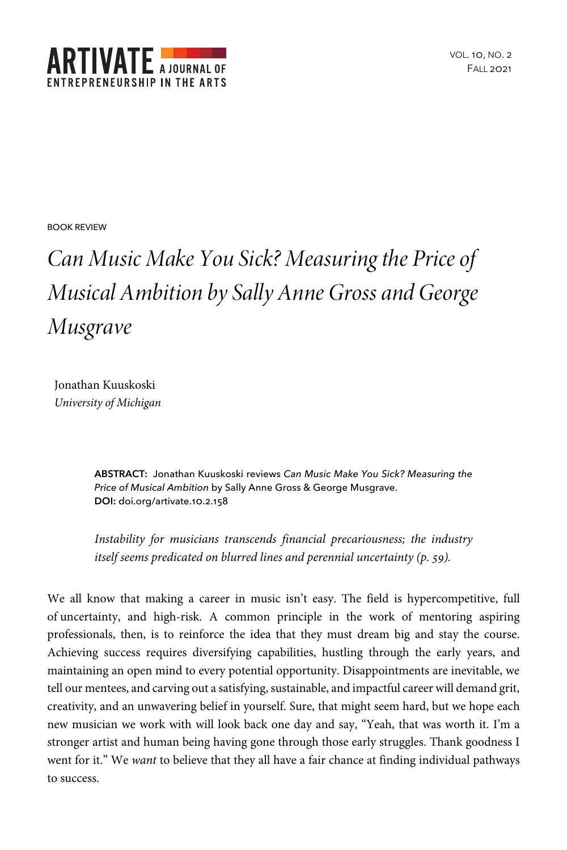

BOOK REVIEW

## *Can Music Make You Sick? Measuring the Price of Musical Ambition by Sally Anne Gross and George Musgrave*

Jonathan Kuuskoski *University of Michigan*

> **ABSTRACT:** Jonathan Kuuskoski reviews *Can Music Make You Sick? Measuring the Price of Musical Ambition* by Sally Anne Gross & George Musgrave. **DOI:** doi.org/artivate.10.2.158

> *Instability for musicians transcends financial precariousness; the industry itself seems predicated on blurred lines and perennial uncertainty (p. 59).*

We all know that making a career in music isn't easy. The field is hypercompetitive, full of uncertainty, and high-risk. A common principle in the work of mentoring aspiring professionals, then, is to reinforce the idea that they must dream big and stay the course. Achieving success requires diversifying capabilities, hustling through the early years, and maintaining an open mind to every potential opportunity. Disappointments are inevitable, we tell our mentees, and carving out a satisfying, sustainable, and impactful career will demand grit, creativity, and an unwavering belief in yourself. Sure, that might seem hard, but we hope each new musician we work with will look back one day and say, "Yeah, that was worth it. I'm a stronger artist and human being having gone through those early struggles. Thank goodness I went for it." We *want* to believe that they all have a fair chance at finding individual pathways to success.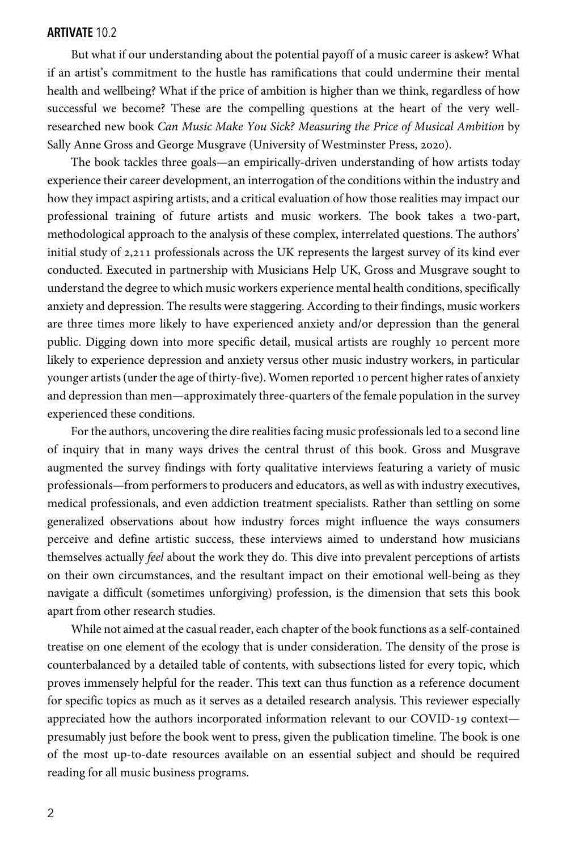## **ARTIVATE** 10.2

But what if our understanding about the potential payoff of a music career is askew? What if an artist's commitment to the hustle has ramifications that could undermine their mental health and wellbeing? What if the price of ambition is higher than we think, regardless of how successful we become? These are the compelling questions at the heart of the very wellresearched new book *Can Music Make You Sick? Measuring the Price of Musical Ambition* by Sally Anne Gross and George Musgrave (University of Westminster Press, 2020).

The book tackles three goals—an empirically-driven understanding of how artists today experience their career development, an interrogation of the conditions within the industry and how they impact aspiring artists, and a critical evaluation of how those realities may impact our professional training of future artists and music workers. The book takes a two-part, methodological approach to the analysis of these complex, interrelated questions. The authors' initial study of 2,211 professionals across the UK represents the largest survey of its kind ever conducted. Executed in partnership with Musicians Help UK, Gross and Musgrave sought to understand the degree to which music workers experience mental health conditions, specifically anxiety and depression. The results were staggering. According to their findings, music workers are three times more likely to have experienced anxiety and/or depression than the general public. Digging down into more specific detail, musical artists are roughly 10 percent more likely to experience depression and anxiety versus other music industry workers, in particular younger artists (under the age of thirty-five). Women reported 10 percent higher rates of anxiety and depression than men—approximately three-quarters of the female population in the survey experienced these conditions.

For the authors, uncovering the dire realities facing music professionals led to a second line of inquiry that in many ways drives the central thrust of this book. Gross and Musgrave augmented the survey findings with forty qualitative interviews featuring a variety of music professionals—from performers to producers and educators, as well as with industry executives, medical professionals, and even addiction treatment specialists. Rather than settling on some generalized observations about how industry forces might influence the ways consumers perceive and define artistic success, these interviews aimed to understand how musicians themselves actually *feel* about the work they do. This dive into prevalent perceptions of artists on their own circumstances, and the resultant impact on their emotional well-being as they navigate a difficult (sometimes unforgiving) profession, is the dimension that sets this book apart from other research studies.

While not aimed at the casual reader, each chapter of the book functions as a self-contained treatise on one element of the ecology that is under consideration. The density of the prose is counterbalanced by a detailed table of contents, with subsections listed for every topic, which proves immensely helpful for the reader. This text can thus function as a reference document for specific topics as much as it serves as a detailed research analysis. This reviewer especially appreciated how the authors incorporated information relevant to our COVID-19 context presumably just before the book went to press, given the publication timeline. The book is one of the most up-to-date resources available on an essential subject and should be required reading for all music business programs.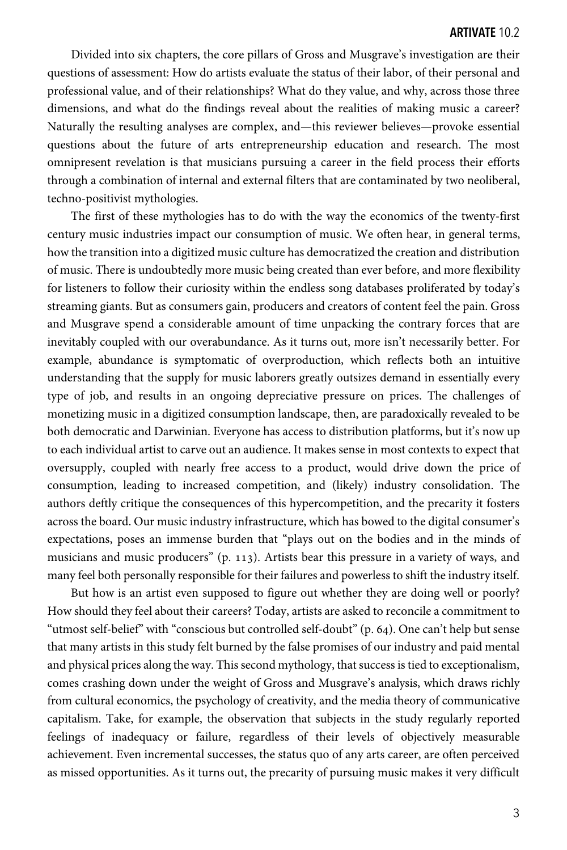Divided into six chapters, the core pillars of Gross and Musgrave's investigation are their questions of assessment: How do artists evaluate the status of their labor, of their personal and professional value, and of their relationships? What do they value, and why, across those three dimensions, and what do the findings reveal about the realities of making music a career? Naturally the resulting analyses are complex, and—this reviewer believes—provoke essential questions about the future of arts entrepreneurship education and research. The most omnipresent revelation is that musicians pursuing a career in the field process their efforts through a combination of internal and external filters that are contaminated by two neoliberal, techno-positivist mythologies.

The first of these mythologies has to do with the way the economics of the twenty-first century music industries impact our consumption of music. We often hear, in general terms, how the transition into a digitized music culture has democratized the creation and distribution of music. There is undoubtedly more music being created than ever before, and more flexibility for listeners to follow their curiosity within the endless song databases proliferated by today's streaming giants. But as consumers gain, producers and creators of content feel the pain. Gross and Musgrave spend a considerable amount of time unpacking the contrary forces that are inevitably coupled with our overabundance. As it turns out, more isn't necessarily better. For example, abundance is symptomatic of overproduction, which reflects both an intuitive understanding that the supply for music laborers greatly outsizes demand in essentially every type of job, and results in an ongoing depreciative pressure on prices. The challenges of monetizing music in a digitized consumption landscape, then, are paradoxically revealed to be both democratic and Darwinian. Everyone has access to distribution platforms, but it's now up to each individual artist to carve out an audience. It makes sense in most contexts to expect that oversupply, coupled with nearly free access to a product, would drive down the price of consumption, leading to increased competition, and (likely) industry consolidation. The authors deftly critique the consequences of this hypercompetition, and the precarity it fosters across the board. Our music industry infrastructure, which has bowed to the digital consumer's expectations, poses an immense burden that "plays out on the bodies and in the minds of musicians and music producers"  $(p. 113)$ . Artists bear this pressure in a variety of ways, and many feel both personally responsible for their failures and powerless to shift the industry itself.

But how is an artist even supposed to figure out whether they are doing well or poorly? How should they feel about their careers? Today, artists are asked to reconcile a commitment to "utmost self-belief" with "conscious but controlled self-doubt" (p. 64). One can't help but sense that many artists in this study felt burned by the false promises of our industry and paid mental and physical prices along the way. This second mythology, that success is tied to exceptionalism, comes crashing down under the weight of Gross and Musgrave's analysis, which draws richly from cultural economics, the psychology of creativity, and the media theory of communicative capitalism. Take, for example, the observation that subjects in the study regularly reported feelings of inadequacy or failure, regardless of their levels of objectively measurable achievement. Even incremental successes, the status quo of any arts career, are often perceived as missed opportunities. As it turns out, the precarity of pursuing music makes it very difficult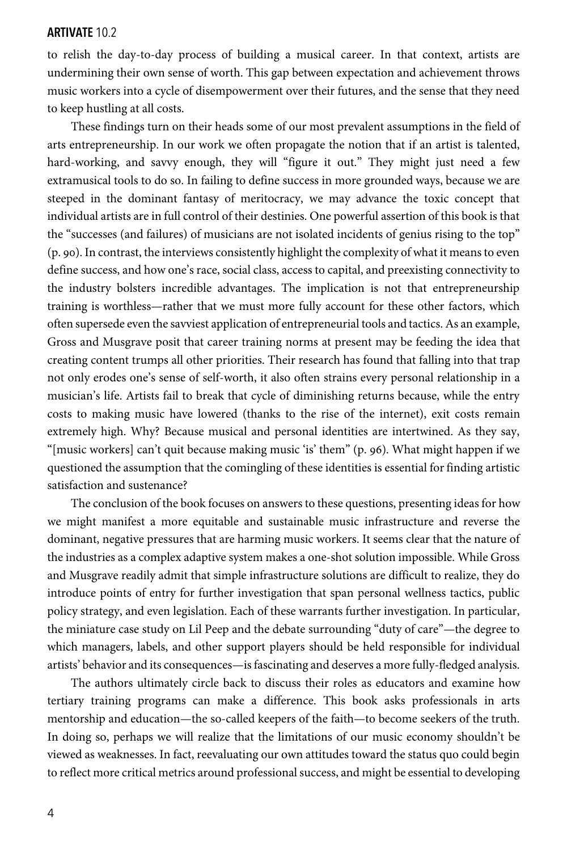## **ARTIVATE** 10.2

to relish the day-to-day process of building a musical career. In that context, artists are undermining their own sense of worth. This gap between expectation and achievement throws music workers into a cycle of disempowerment over their futures, and the sense that they need to keep hustling at all costs.

These findings turn on their heads some of our most prevalent assumptions in the field of arts entrepreneurship. In our work we often propagate the notion that if an artist is talented, hard-working, and savvy enough, they will "figure it out." They might just need a few extramusical tools to do so. In failing to define success in more grounded ways, because we are steeped in the dominant fantasy of meritocracy, we may advance the toxic concept that individual artists are in full control of their destinies. One powerful assertion of this book is that the "successes (and failures) of musicians are not isolated incidents of genius rising to the top" (p. 90). In contrast, the interviews consistently highlight the complexity of what it means to even define success, and how one's race, social class, access to capital, and preexisting connectivity to the industry bolsters incredible advantages. The implication is not that entrepreneurship training is worthless—rather that we must more fully account for these other factors, which often supersede even the savviest application of entrepreneurial tools and tactics. As an example, Gross and Musgrave posit that career training norms at present may be feeding the idea that creating content trumps all other priorities. Their research has found that falling into that trap not only erodes one's sense of self-worth, it also often strains every personal relationship in a musician's life. Artists fail to break that cycle of diminishing returns because, while the entry costs to making music have lowered (thanks to the rise of the internet), exit costs remain extremely high. Why? Because musical and personal identities are intertwined. As they say, "[music workers] can't quit because making music 'is' them" (p. 96). What might happen if we questioned the assumption that the comingling of these identities is essential forfinding artistic satisfaction and sustenance?

The conclusion of the book focuses on answers to these questions, presenting ideas for how we might manifest a more equitable and sustainable music infrastructure and reverse the dominant, negative pressures that are harming music workers. It seems clear that the nature of the industries as a complex adaptive system makes a one-shot solution impossible. While Gross and Musgrave readily admit that simple infrastructure solutions are difficult to realize, they do introduce points of entry for further investigation that span personal wellness tactics, public policy strategy, and even legislation. Each of these warrants further investigation. In particular, the miniature case study on Lil Peep and the debate surrounding "duty of care"—the degree to which managers, labels, and other support players should be held responsible for individual artists' behavior and its consequences—is fascinating and deserves a more fully-fledged analysis.

The authors ultimately circle back to discuss their roles as educators and examine how tertiary training programs can make a difference. This book asks professionals in arts mentorship and education—the so-called keepers of the faith—to become seekers of the truth. In doing so, perhaps we will realize that the limitations of our music economy shouldn't be viewed as weaknesses. In fact, reevaluating our own attitudes toward the status quo could begin to reflect more critical metrics around professional success, and might be essential to developing